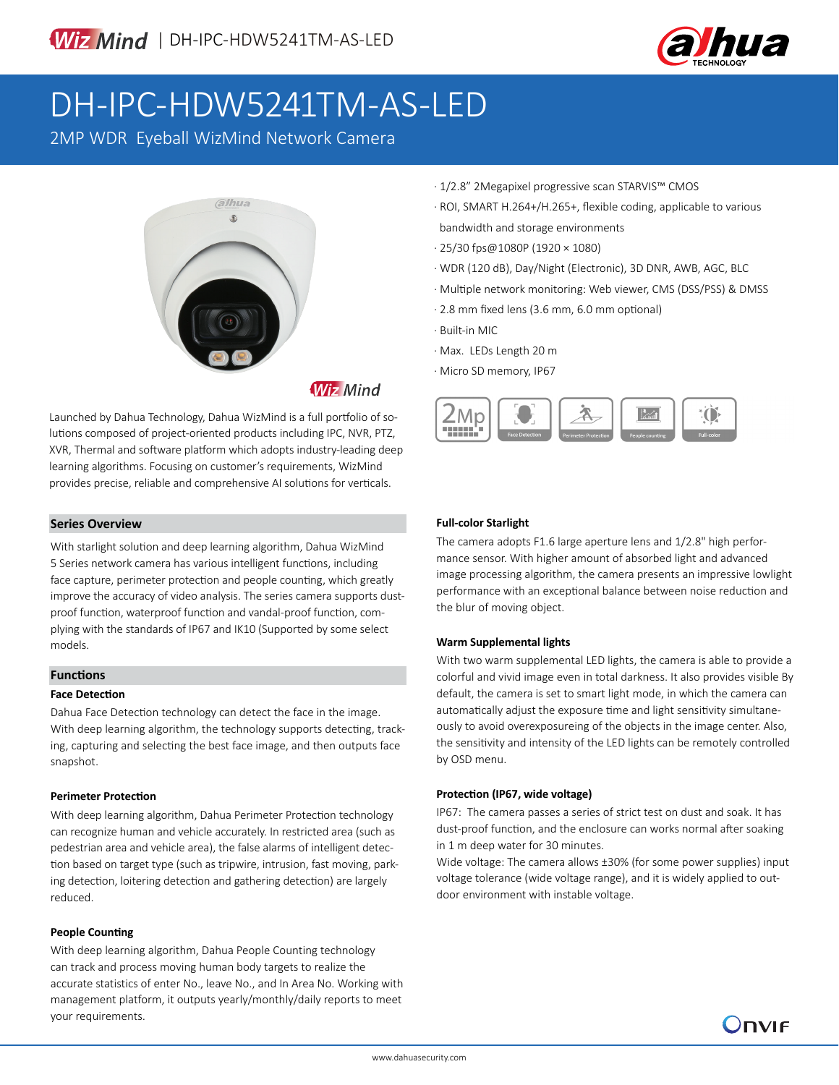

# DH-IPC-HDW5241TM-AS-LED

2MP WDR Eyeball WizMind Network Camera



Launched by Dahua Technology, Dahua WizMind is a full portfolio of solutions composed of project-oriented products including IPC, NVR, PTZ, XVR, Thermal and software platform which adopts industry-leading deep learning algorithms. Focusing on customer's requirements, WizMind provides precise, reliable and comprehensive AI solutions for verticals.

## **Series Overview**

With starlight solution and deep learning algorithm, Dahua WizMind 5 Series network camera has various intelligent functions, including face capture, perimeter protection and people counting, which greatly improve the accuracy of video analysis. The series camera supports dustproof function, waterproof function and vandal-proof function, complying with the standards of IP67 and IK10 (Supported by some select models.

## **Functions**

## **Face Detection**

Dahua Face Detection technology can detect the face in the image. With deep learning algorithm, the technology supports detecting, tracking, capturing and selecting the best face image, and then outputs face snapshot.

## **Perimeter Protection**

With deep learning algorithm, Dahua Perimeter Protection technology can recognize human and vehicle accurately. In restricted area (such as pedestrian area and vehicle area), the false alarms of intelligent detection based on target type (such as tripwire, intrusion, fast moving, parking detection, loitering detection and gathering detection) are largely reduced.

## **People Counting**

With deep learning algorithm, Dahua People Counting technology can track and process moving human body targets to realize the accurate statistics of enter No., leave No., and In Area No. Working with management platform, it outputs yearly/monthly/daily reports to meet your requirements.

- · 1/2.8" 2Megapixel progressive scan STARVIS™ CMOS
- · ROI, SMART H.264+/H.265+, flexible coding, applicable to various bandwidth and storage environments
- · 25/30 fps@1080P (1920 × 1080)
- · WDR (120 dB), Day/Night (Electronic), 3D DNR, AWB, AGC, BLC
- · Multiple network monitoring: Web viewer, CMS (DSS/PSS) & DMSS
- · 2.8 mm fixed lens (3.6 mm, 6.0 mm optional)
- · Built-in MIC
- · Max. LEDs Length 20 m
- · Micro SD memory, IP67



## **Full-color Starlight**

The camera adopts F1.6 large aperture lens and 1/2.8" high performance sensor. With higher amount of absorbed light and advanced image processing algorithm, the camera presents an impressive lowlight performance with an exceptional balance between noise reduction and the blur of moving object.

## **Warm Supplemental lights**

With two warm supplemental LED lights, the camera is able to provide a colorful and vivid image even in total darkness. It also provides visible By default, the camera is set to smart light mode, in which the camera can automatically adjust the exposure time and light sensitivity simultaneously to avoid overexposureing of the objects in the image center. Also, the sensitivity and intensity of the LED lights can be remotely controlled by OSD menu.

## **Protection (IP67, wide voltage)**

IP67: The camera passes a series of strict test on dust and soak. It has dust-proof function, and the enclosure can works normal after soaking in 1 m deep water for 30 minutes.

Wide voltage: The camera allows ±30% (for some power supplies) input voltage tolerance (wide voltage range), and it is widely applied to outdoor environment with instable voltage.

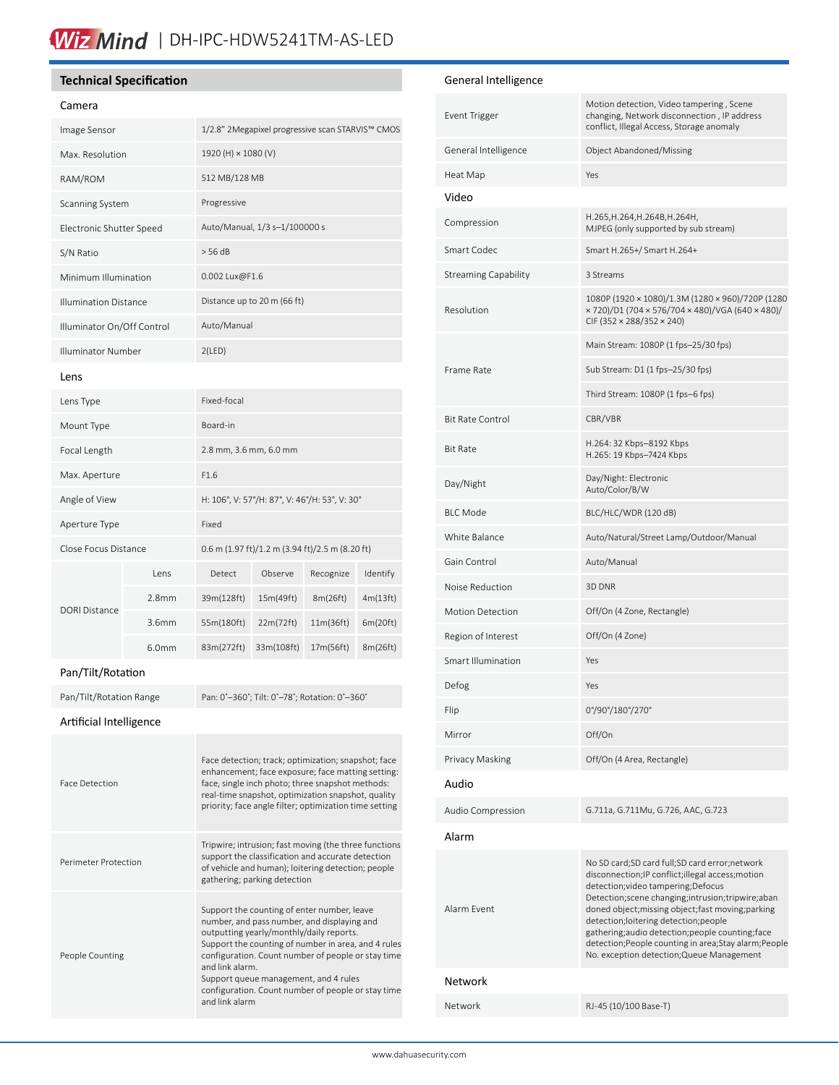## Wiz Mind | DH-IPC-HDW5241TM-AS-LED

## **Technical Specification**

Perimeter Protection

People Counting

| Camera                       |                   |                                                                                                                                                                                                                                                                              |            |           |          |
|------------------------------|-------------------|------------------------------------------------------------------------------------------------------------------------------------------------------------------------------------------------------------------------------------------------------------------------------|------------|-----------|----------|
| Image Sensor                 |                   | 1/2.8" 2Megapixel progressive scan STARVIS™ CMOS                                                                                                                                                                                                                             |            |           |          |
| Max. Resolution              |                   | 1920 (H) × 1080 (V)                                                                                                                                                                                                                                                          |            |           |          |
| RAM/ROM                      |                   | 512 MB/128 MB                                                                                                                                                                                                                                                                |            |           |          |
| Scanning System              |                   | Progressive                                                                                                                                                                                                                                                                  |            |           |          |
| Electronic Shutter Speed     |                   | Auto/Manual, 1/3 s-1/100000 s                                                                                                                                                                                                                                                |            |           |          |
| S/N Ratio                    |                   | > 56 dB                                                                                                                                                                                                                                                                      |            |           |          |
| Minimum Illumination         |                   | 0.002 Lux@F1.6                                                                                                                                                                                                                                                               |            |           |          |
| <b>Illumination Distance</b> |                   | Distance up to 20 m (66 ft)                                                                                                                                                                                                                                                  |            |           |          |
| Illuminator On/Off Control   |                   | Auto/Manual                                                                                                                                                                                                                                                                  |            |           |          |
| Illuminator Number           |                   | 2(LED)                                                                                                                                                                                                                                                                       |            |           |          |
| Lens                         |                   |                                                                                                                                                                                                                                                                              |            |           |          |
| Lens Type                    |                   | Fixed-focal                                                                                                                                                                                                                                                                  |            |           |          |
| Mount Type                   |                   | Board-in                                                                                                                                                                                                                                                                     |            |           |          |
| Focal Length                 |                   | 2.8 mm, 3.6 mm, 6.0 mm                                                                                                                                                                                                                                                       |            |           |          |
| Max. Aperture                |                   | F1.6                                                                                                                                                                                                                                                                         |            |           |          |
| Angle of View                |                   | H: 106°, V: 57°/H: 87°, V: 46°/H: 53°, V: 30°                                                                                                                                                                                                                                |            |           |          |
| Aperture Type                |                   | Fixed                                                                                                                                                                                                                                                                        |            |           |          |
| Close Focus Distance         |                   | 0.6 m (1.97 ft)/1.2 m (3.94 ft)/2.5 m (8.20 ft)                                                                                                                                                                                                                              |            |           |          |
|                              | Lens              | Detect                                                                                                                                                                                                                                                                       | Observe    | Recognize | Identify |
| <b>DORI Distance</b>         | 2.8 <sub>mm</sub> | 39m(128ft)                                                                                                                                                                                                                                                                   | 15m(49ft)  | 8m(26ft)  | 4m(13ft) |
|                              | 3.6mm             | 55m(180ft)                                                                                                                                                                                                                                                                   | 22m(72ft)  | 11m(36ft) | 6m(20ft) |
|                              | 6.0 <sub>mm</sub> | 83m(272ft)                                                                                                                                                                                                                                                                   | 33m(108ft) | 17m(56ft) | 8m(26ft) |
| Pan/Tilt/Rotation            |                   |                                                                                                                                                                                                                                                                              |            |           |          |
| Pan/Tilt/Rotation Range      |                   | Pan: 0°-360°; Tilt: 0°-78°; Rotation: 0°-360°                                                                                                                                                                                                                                |            |           |          |
| Artificial Intelligence      |                   |                                                                                                                                                                                                                                                                              |            |           |          |
| <b>Face Detection</b>        |                   | Face detection; track; optimization; snapshot; face<br>enhancement; face exposure; face matting setting:<br>face, single inch photo; three snapshot methods:<br>real-time snapshot, optimization snapshot, quality<br>priority; face angle filter; optimization time setting |            |           |          |

Tripwire; intrusion; fast moving (the three functions support the classification and accurate detection of vehicle and human); loitering detection; people

Support the counting of enter number, leave number, and pass number, and displaying and outputting yearly/monthly/daily reports. Support the counting of number in area, and 4 rules configuration. Count number of people or stay time

Support queue management, and 4 rules configuration. Count number of people or stay time

gathering; parking detection

and link alarm.

and link alarm

| Video                       |                                                                                                                                                                                                                                                                                                                                                                                                                                                           |  |
|-----------------------------|-----------------------------------------------------------------------------------------------------------------------------------------------------------------------------------------------------------------------------------------------------------------------------------------------------------------------------------------------------------------------------------------------------------------------------------------------------------|--|
| Compression                 | H.265, H.264, H.264B, H.264H,<br>MJPEG (only supported by sub stream)                                                                                                                                                                                                                                                                                                                                                                                     |  |
| Smart Codec                 | Smart H.265+/ Smart H.264+                                                                                                                                                                                                                                                                                                                                                                                                                                |  |
| <b>Streaming Capability</b> | 3 Streams                                                                                                                                                                                                                                                                                                                                                                                                                                                 |  |
| Resolution                  | 1080P (1920 × 1080)/1.3M (1280 × 960)/720P (1280<br>x 720)/D1 (704 x 576/704 x 480)/VGA (640 x 480)/<br>CIF (352 × 288/352 × 240)                                                                                                                                                                                                                                                                                                                         |  |
|                             | Main Stream: 1080P (1 fps-25/30 fps)                                                                                                                                                                                                                                                                                                                                                                                                                      |  |
| Frame Rate                  | Sub Stream: D1 (1 fps-25/30 fps)                                                                                                                                                                                                                                                                                                                                                                                                                          |  |
|                             | Third Stream: 1080P (1 fps-6 fps)                                                                                                                                                                                                                                                                                                                                                                                                                         |  |
| <b>Bit Rate Control</b>     | CBR/VBR                                                                                                                                                                                                                                                                                                                                                                                                                                                   |  |
| <b>Bit Rate</b>             | H.264: 32 Kbps-8192 Kbps<br>H.265: 19 Kbps-7424 Kbps                                                                                                                                                                                                                                                                                                                                                                                                      |  |
| Day/Night                   | Day/Night: Electronic<br>Auto/Color/B/W                                                                                                                                                                                                                                                                                                                                                                                                                   |  |
| <b>BLC Mode</b>             | BLC/HLC/WDR (120 dB)                                                                                                                                                                                                                                                                                                                                                                                                                                      |  |
| White Balance               | Auto/Natural/Street Lamp/Outdoor/Manual                                                                                                                                                                                                                                                                                                                                                                                                                   |  |
| Gain Control                | Auto/Manual                                                                                                                                                                                                                                                                                                                                                                                                                                               |  |
| Noise Reduction             | 3D DNR                                                                                                                                                                                                                                                                                                                                                                                                                                                    |  |
| <b>Motion Detection</b>     | Off/On (4 Zone, Rectangle)                                                                                                                                                                                                                                                                                                                                                                                                                                |  |
| Region of Interest          | Off/On (4 Zone)                                                                                                                                                                                                                                                                                                                                                                                                                                           |  |
| <b>Smart Illumination</b>   | Yes                                                                                                                                                                                                                                                                                                                                                                                                                                                       |  |
| Defog                       | Yes                                                                                                                                                                                                                                                                                                                                                                                                                                                       |  |
| Flip                        | 0°/90°/180°/270°                                                                                                                                                                                                                                                                                                                                                                                                                                          |  |
| Mirror                      | Off/On                                                                                                                                                                                                                                                                                                                                                                                                                                                    |  |
| Privacy Masking             | Off/On (4 Area, Rectangle)                                                                                                                                                                                                                                                                                                                                                                                                                                |  |
| Audio                       |                                                                                                                                                                                                                                                                                                                                                                                                                                                           |  |
| Audio Compression           | G.711a, G.711Mu, G.726, AAC, G.723                                                                                                                                                                                                                                                                                                                                                                                                                        |  |
| Alarm                       |                                                                                                                                                                                                                                                                                                                                                                                                                                                           |  |
| Alarm Event                 | No SD card;SD card full;SD card error;network<br>disconnection; IP conflict; illegal access; motion<br>detection; video tampering; Defocus<br>Detection; scene changing; intrusion; tripwire; aban<br>doned object; missing object; fast moving; parking<br>detection;loitering detection;people<br>gathering;audio detection;people counting;face<br>detection; People counting in area; Stay alarm; People<br>No. exception detection; Queue Management |  |
| Network                     |                                                                                                                                                                                                                                                                                                                                                                                                                                                           |  |
| Network                     | RJ-45 (10/100 Base-T)                                                                                                                                                                                                                                                                                                                                                                                                                                     |  |

Motion detection, Video tampering , Scene changing, Network disconnection , IP address conflict, Illegal Access, Storage anomaly

## General Intelligence

Heat Map Yes

General Intelligence **Object Abandoned/Missing** 

Event Trigger